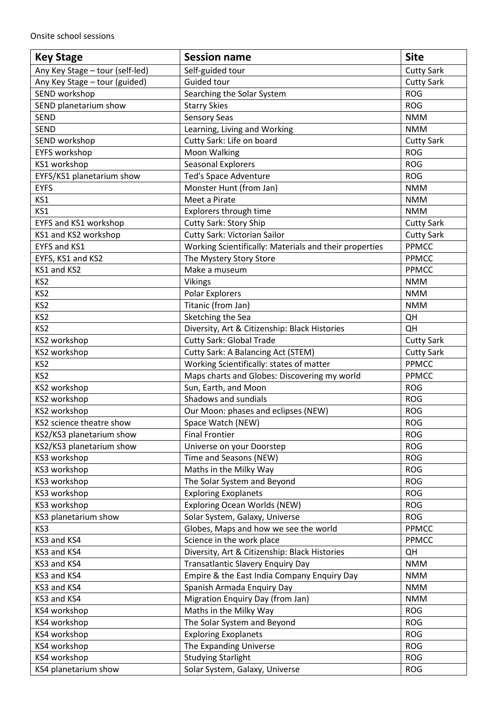| <b>Key Stage</b>                | <b>Session name</b>                                    | <b>Site</b>       |
|---------------------------------|--------------------------------------------------------|-------------------|
| Any Key Stage - tour (self-led) | Self-guided tour                                       | <b>Cutty Sark</b> |
| Any Key Stage - tour (guided)   | Guided tour                                            | <b>Cutty Sark</b> |
| SEND workshop                   | Searching the Solar System                             | <b>ROG</b>        |
| SEND planetarium show           | <b>Starry Skies</b>                                    | <b>ROG</b>        |
| <b>SEND</b>                     | <b>Sensory Seas</b>                                    | <b>NMM</b>        |
| <b>SEND</b>                     | Learning, Living and Working                           | <b>NMM</b>        |
| SEND workshop                   | Cutty Sark: Life on board                              | <b>Cutty Sark</b> |
| <b>EYFS workshop</b>            | Moon Walking                                           | <b>ROG</b>        |
| KS1 workshop                    | <b>Seasonal Explorers</b>                              | <b>ROG</b>        |
| EYFS/KS1 planetarium show       | <b>Ted's Space Adventure</b>                           | <b>ROG</b>        |
| <b>EYFS</b>                     | Monster Hunt (from Jan)                                | <b>NMM</b>        |
| KS1                             | Meet a Pirate                                          | <b>NMM</b>        |
| KS1                             | Explorers through time                                 | <b>NMM</b>        |
| EYFS and KS1 workshop           | <b>Cutty Sark: Story Ship</b>                          | <b>Cutty Sark</b> |
| KS1 and KS2 workshop            | Cutty Sark: Victorian Sailor                           | <b>Cutty Sark</b> |
| EYFS and KS1                    | Working Scientifically: Materials and their properties | PPMCC             |
| EYFS, KS1 and KS2               | The Mystery Story Store                                | <b>PPMCC</b>      |
| KS1 and KS2                     | Make a museum                                          | <b>PPMCC</b>      |
| KS <sub>2</sub>                 | <b>Vikings</b>                                         | <b>NMM</b>        |
| KS <sub>2</sub>                 | Polar Explorers                                        | <b>NMM</b>        |
| KS <sub>2</sub>                 | Titanic (from Jan)                                     | <b>NMM</b>        |
| KS <sub>2</sub>                 | Sketching the Sea                                      | QH                |
| KS <sub>2</sub>                 | Diversity, Art & Citizenship: Black Histories          | QH                |
| KS2 workshop                    | <b>Cutty Sark: Global Trade</b>                        | <b>Cutty Sark</b> |
| KS2 workshop                    | Cutty Sark: A Balancing Act (STEM)                     | <b>Cutty Sark</b> |
| KS <sub>2</sub>                 | Working Scientifically: states of matter               | <b>PPMCC</b>      |
| KS <sub>2</sub>                 | Maps charts and Globes: Discovering my world           | <b>PPMCC</b>      |
| KS2 workshop                    | Sun, Earth, and Moon                                   | <b>ROG</b>        |
| KS2 workshop                    | Shadows and sundials                                   | <b>ROG</b>        |
| KS2 workshop                    | Our Moon: phases and eclipses (NEW)                    | <b>ROG</b>        |
| KS2 science theatre show        | Space Watch (NEW)                                      | <b>ROG</b>        |
| KS2/KS3 planetarium show        | <b>Final Frontier</b>                                  | <b>ROG</b>        |
| KS2/KS3 planetarium show        | Universe on your Doorstep                              | <b>ROG</b>        |
| KS3 workshop                    | Time and Seasons (NEW)                                 | <b>ROG</b>        |
| KS3 workshop                    | Maths in the Milky Way                                 | <b>ROG</b>        |
| KS3 workshop                    | The Solar System and Beyond                            | <b>ROG</b>        |
| KS3 workshop                    | <b>Exploring Exoplanets</b>                            | <b>ROG</b>        |
| KS3 workshop                    | <b>Exploring Ocean Worlds (NEW)</b>                    | <b>ROG</b>        |
| KS3 planetarium show            | Solar System, Galaxy, Universe                         | <b>ROG</b>        |
| KS3                             | Globes, Maps and how we see the world                  | <b>PPMCC</b>      |
| KS3 and KS4                     | Science in the work place                              | PPMCC             |
| KS3 and KS4                     | Diversity, Art & Citizenship: Black Histories          | QH                |
| KS3 and KS4                     | <b>Transatlantic Slavery Enquiry Day</b>               | <b>NMM</b>        |
| KS3 and KS4                     | Empire & the East India Company Enquiry Day            | <b>NMM</b>        |
| KS3 and KS4                     | Spanish Armada Enquiry Day                             | <b>NMM</b>        |
| KS3 and KS4                     | Migration Enquiry Day (from Jan)                       | <b>NMM</b>        |
| KS4 workshop                    | Maths in the Milky Way                                 | <b>ROG</b>        |
| KS4 workshop                    | The Solar System and Beyond                            | <b>ROG</b>        |
| KS4 workshop                    | <b>Exploring Exoplanets</b>                            | <b>ROG</b>        |
| KS4 workshop                    | The Expanding Universe                                 | <b>ROG</b>        |
| KS4 workshop                    | <b>Studying Starlight</b>                              | <b>ROG</b>        |
| KS4 planetarium show            | Solar System, Galaxy, Universe                         | <b>ROG</b>        |
|                                 |                                                        |                   |